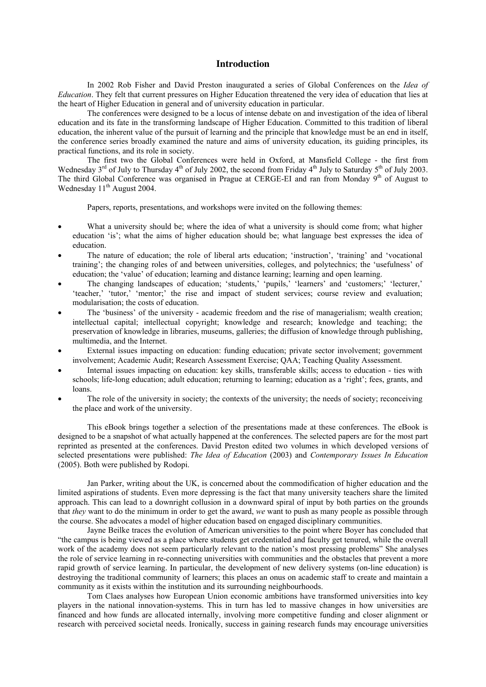## **Introduction**

In 2002 Rob Fisher and David Preston inaugurated a series of Global Conferences on the *Idea of Education*. They felt that current pressures on Higher Education threatened the very idea of education that lies at the heart of Higher Education in general and of university education in particular.

The conferences were designed to be a locus of intense debate on and investigation of the idea of liberal education and its fate in the transforming landscape of Higher Education. Committed to this tradition of liberal education, the inherent value of the pursuit of learning and the principle that knowledge must be an end in itself, the conference series broadly examined the nature and aims of university education, its guiding principles, its practical functions, and its role in society.

The first two the Global Conferences were held in Oxford, at Mansfield College - the first from Wednesday  $3^{rd}$  of July to Thursday  $4^{th}$  of July 2002, the second from Friday  $4^{th}$  July to Saturday  $5^{th}$  of July 2003. The third Global Conference was organised in Prague at CERGE-EI and ran from Monday 9<sup>th</sup> of August to Wednesday 11<sup>th</sup> August 2004.

Papers, reports, presentations, and workshops were invited on the following themes:

- What a university should be; where the idea of what a university is should come from; what higher education 'is'; what the aims of higher education should be; what language best expresses the idea of education.
- The nature of education; the role of liberal arts education; 'instruction', 'training' and 'vocational training'; the changing roles of and between universities, colleges, and polytechnics; the 'usefulness' of education; the 'value' of education; learning and distance learning; learning and open learning.
- The changing landscapes of education; 'students,' 'pupils,' 'learners' and 'customers;' 'lecturer,' 'teacher,' 'tutor,' 'mentor;' the rise and impact of student services; course review and evaluation; modularisation; the costs of education.
- The 'business' of the university academic freedom and the rise of managerialism; wealth creation; intellectual capital; intellectual copyright; knowledge and research; knowledge and teaching; the preservation of knowledge in libraries, museums, galleries; the diffusion of knowledge through publishing, multimedia, and the Internet.
- External issues impacting on education: funding education; private sector involvement; government involvement; Academic Audit; Research Assessment Exercise; QAA; Teaching Quality Assessment.
- Internal issues impacting on education: key skills, transferable skills; access to education ties with schools; life-long education; adult education; returning to learning; education as a 'right'; fees, grants, and loans.
- The role of the university in society; the contexts of the university; the needs of society; reconceiving the place and work of the university.

This eBook brings together a selection of the presentations made at these conferences. The eBook is designed to be a snapshot of what actually happened at the conferences. The selected papers are for the most part reprinted as presented at the conferences. David Preston edited two volumes in which developed versions of selected presentations were published: *The Idea of Education* (2003) and *Contemporary Issues In Education* (2005). Both were published by Rodopi.

Jan Parker, writing about the UK, is concerned about the commodification of higher education and the limited aspirations of students. Even more depressing is the fact that many university teachers share the limited approach. This can lead to a downright collusion in a downward spiral of input by both parties on the grounds that *they* want to do the minimum in order to get the award, *we* want to push as many people as possible through the course. She advocates a model of higher education based on engaged disciplinary communities.

Jayne Beilke traces the evolution of American universities to the point where Boyer has concluded that "the campus is being viewed as a place where students get credentialed and faculty get tenured, while the overall work of the academy does not seem particularly relevant to the nation's most pressing problems" She analyses the role of service learning in re-connecting universities with communities and the obstacles that prevent a more rapid growth of service learning. In particular, the development of new delivery systems (on-line education) is destroying the traditional community of learners; this places an onus on academic staff to create and maintain a community as it exists within the institution and its surrounding neighbourhoods.

Tom Claes analyses how European Union economic ambitions have transformed universities into key players in the national innovation-systems. This in turn has led to massive changes in how universities are financed and how funds are allocated internally, involving more competitive funding and closer alignment or research with perceived societal needs. Ironically, success in gaining research funds may encourage universities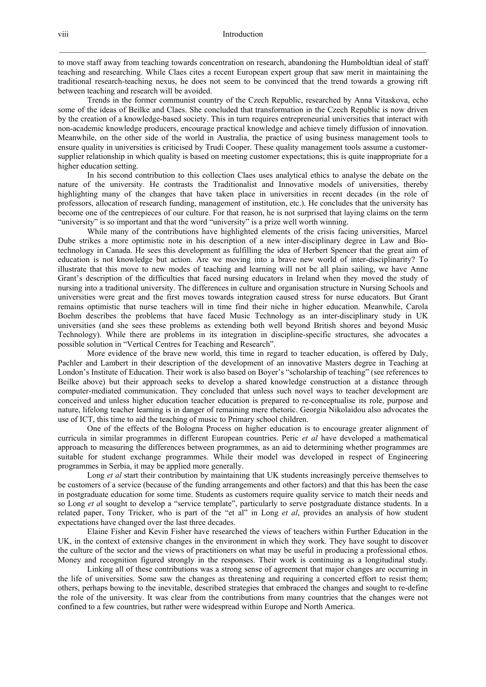to move staff away from teaching towards concentration on research, abandoning the Humboldtian ideal of staff teaching and researching. While Claes cites a recent European expert group that saw merit in maintaining the traditional research-teaching nexus, he does not seem to be convinced that the trend towards a growing rift between teaching and research will be avoided.

Trends in the former communist country of the Czech Republic, researched by Anna Vitaskova, echo some of the ideas of Beilke and Claes. She concluded that transformation in the Czech Republic is now driven by the creation of a knowledge-based society. This in turn requires entrepreneurial universities that interact with non-academic knowledge producers, encourage practical knowledge and achieve timely diffusion of innovation. Meanwhile, on the other side of the world in Australia, the practice of using business management tools to ensure quality in universities is criticised by Trudi Cooper. These quality management tools assume a customersupplier relationship in which quality is based on meeting customer expectations; this is quite inappropriate for a higher education setting.

In his second contribution to this collection Claes uses analytical ethics to analyse the debate on the nature of the university. He contrasts the Traditionalist and Innovative models of universities, thereby highlighting many of the changes that have taken place in universities in recent decades (in the role of professors, allocation of research funding, management of institution, etc.). He concludes that the university has become one of the centrepieces of our culture. For that reason, he is not surprised that laying claims on the term "university" is so important and that the word "university" is a prize well worth winning.

While many of the contributions have highlighted elements of the crisis facing universities, Marcel Dube strikes a more optimistic note in his description of a new inter-disciplinary degree in Law and Biotechnology in Canada. He sees this development as fulfilling the idea of Herbert Spencer that the great aim of education is not knowledge but action. Are we moving into a brave new world of inter-disciplinarity? To illustrate that this move to new modes of teaching and learning will not be all plain sailing, we have Anne Grant's description of the difficulties that faced nursing educators in Ireland when they moved the study of nursing into a traditional university. The differences in culture and organisation structure in Nursing Schools and universities were great and the first moves towards integration caused stress for nurse educators. But Grant remains optimistic that nurse teachers will in time find their niche in higher education. Meanwhile, Carola Boehm describes the problems that have faced Music Technology as an inter-disciplinary study in UK universities (and she sees these problems as extending both well beyond British shores and beyond Music Technology). While there are problems in its integration in discipline-specific structures, she advocates a possible solution in "Vertical Centres for Teaching and Research".

More evidence of the brave new world, this time in regard to teacher education, is offered by Daly, Pachler and Lambert in their description of the development of an innovative Masters degree in Teaching at London's Institute of Education. Their work is also based on Boyer's "scholarship of teaching" (see references to Beilke above) but their approach seeks to develop a shared knowledge construction at a distance through computer-mediated communication. They concluded that unless such novel ways to teacher development are conceived and unless higher education teacher education is prepared to re-conceptualise its role, purpose and nature, lifelong teacher learning is in danger of remaining mere rhetoric. Georgia Nikolaidou also advocates the use of ICT, this time to aid the teaching of music to Primary school children.

One of the effects of the Bologna Process on higher education is to encourage greater alignment of curricula in similar programmes in different European countries. Peric *et al* have developed a mathematical approach to measuring the differences between programmes, as an aid to determining whether programmes are suitable for student exchange programmes. While their model was developed in respect of Engineering programmes in Serbia, it may be applied more generally.

Long *et al* start their contribution by maintaining that UK students increasingly perceive themselves to be customers of a service (because of the funding arrangements and other factors) and that this has been the case in postgraduate education for some time. Students as customers require quality service to match their needs and so Long *et al* sought to develop a "service template", particularly to serve postgraduate distance students. In a related paper, Tony Tricker, who is part of the "et al" in Long *et al*, provides an analysis of how student expectations have changed over the last three decades.

Elaine Fisher and Kevin Fisher have researched the views of teachers within Further Education in the UK, in the context of extensive changes in the environment in which they work. They have sought to discover the culture of the sector and the views of practitioners on what may be useful in producing a professional ethos. Money and recognition figured strongly in the responses. Their work is continuing as a longitudinal study.

 Linking all of these contributions was a strong sense of agreement that major changes are occurring in the life of universities. Some saw the changes as threatening and requiring a concerted effort to resist them; others, perhaps bowing to the inevitable, described strategies that embraced the changes and sought to re-define the role of the university. It was clear from the contributions from many countries that the changes were not confined to a few countries, but rather were widespread within Europe and North America.